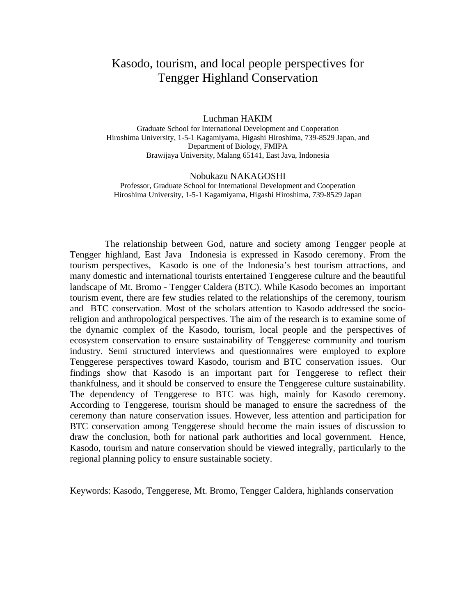# Kasodo, tourism, and local people perspectives for Tengger Highland Conservation

Luchman HAKIM

Graduate School for International Development and Cooperation Hiroshima University, 1-5-1 Kagamiyama, Higashi Hiroshima, 739-8529 Japan, and Department of Biology, FMIPA Brawijaya University, Malang 65141, East Java, Indonesia

Nobukazu NAKAGOSHI

Professor, Graduate School for International Development and Cooperation Hiroshima University, 1-5-1 Kagamiyama, Higashi Hiroshima, 739-8529 Japan

 The relationship between God, nature and society among Tengger people at Tengger highland, East Java Indonesia is expressed in Kasodo ceremony. From the tourism perspectives, Kasodo is one of the Indonesia's best tourism attractions, and many domestic and international tourists entertained Tenggerese culture and the beautiful landscape of Mt. Bromo - Tengger Caldera (BTC). While Kasodo becomes an important tourism event, there are few studies related to the relationships of the ceremony, tourism and BTC conservation. Most of the scholars attention to Kasodo addressed the socioreligion and anthropological perspectives. The aim of the research is to examine some of the dynamic complex of the Kasodo, tourism, local people and the perspectives of ecosystem conservation to ensure sustainability of Tenggerese community and tourism industry. Semi structured interviews and questionnaires were employed to explore Tenggerese perspectives toward Kasodo, tourism and BTC conservation issues. Our findings show that Kasodo is an important part for Tenggerese to reflect their thankfulness, and it should be conserved to ensure the Tenggerese culture sustainability. The dependency of Tenggerese to BTC was high, mainly for Kasodo ceremony. According to Tenggerese, tourism should be managed to ensure the sacredness of the ceremony than nature conservation issues. However, less attention and participation for BTC conservation among Tenggerese should become the main issues of discussion to draw the conclusion, both for national park authorities and local government. Hence, Kasodo, tourism and nature conservation should be viewed integrally, particularly to the regional planning policy to ensure sustainable society.

Keywords: Kasodo, Tenggerese, Mt. Bromo, Tengger Caldera, highlands conservation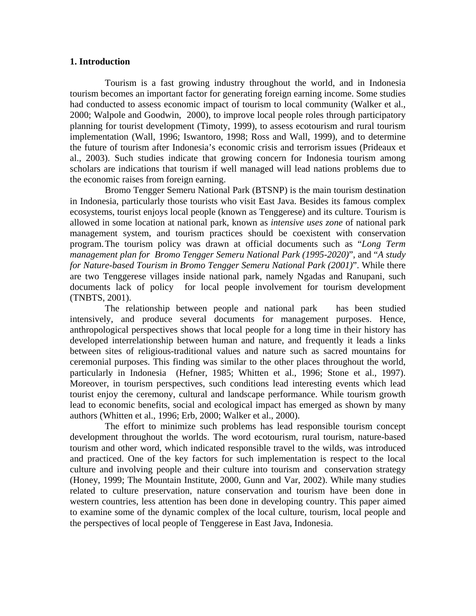## **1. Introduction**

 Tourism is a fast growing industry throughout the world, and in Indonesia tourism becomes an important factor for generating foreign earning income. Some studies had conducted to assess economic impact of tourism to local community (Walker et al., 2000; Walpole and Goodwin, 2000), to improve local people roles through participatory planning for tourist development (Timoty, 1999), to assess ecotourism and rural tourism implementation (Wall, 1996; Iswantoro, 1998; Ross and Wall, 1999), and to determine the future of tourism after Indonesia's economic crisis and terrorism issues (Prideaux et al., 2003). Such studies indicate that growing concern for Indonesia tourism among scholars are indications that tourism if well managed will lead nations problems due to the economic raises from foreign earning.

 Bromo Tengger Semeru National Park (BTSNP) is the main tourism destination in Indonesia, particularly those tourists who visit East Java. Besides its famous complex ecosystems, tourist enjoys local people (known as Tenggerese) and its culture. Tourism is allowed in some location at national park, known as *intensive uses zone* of national park management system, and tourism practices should be coexistent with conservation program. The tourism policy was drawn at official documents such as "*Long Term management plan for Bromo Tengger Semeru National Park (1995-2020)*", and "*A study for Nature-based Tourism in Bromo Tengger Semeru National Park (2001)*". While there are two Tenggerese villages inside national park, namely Ngadas and Ranupani, such documents lack of policy for local people involvement for tourism development (TNBTS, 2001).

 The relationship between people and national park has been studied intensively, and produce several documents for management purposes. Hence, anthropological perspectives shows that local people for a long time in their history has developed interrelationship between human and nature, and frequently it leads a links between sites of religious-traditional values and nature such as sacred mountains for ceremonial purposes. This finding was similar to the other places throughout the world, particularly in Indonesia (Hefner, 1985; Whitten et al., 1996; Stone et al., 1997). Moreover, in tourism perspectives, such conditions lead interesting events which lead tourist enjoy the ceremony, cultural and landscape performance. While tourism growth lead to economic benefits, social and ecological impact has emerged as shown by many authors (Whitten et al., 1996; Erb, 2000; Walker et al., 2000).

 The effort to minimize such problems has lead responsible tourism concept development throughout the worlds. The word ecotourism, rural tourism, nature-based tourism and other word, which indicated responsible travel to the wilds, was introduced and practiced. One of the key factors for such implementation is respect to the local culture and involving people and their culture into tourism and conservation strategy (Honey, 1999; The Mountain Institute, 2000, Gunn and Var, 2002). While many studies related to culture preservation, nature conservation and tourism have been done in western countries, less attention has been done in developing country. This paper aimed to examine some of the dynamic complex of the local culture, tourism, local people and the perspectives of local people of Tenggerese in East Java, Indonesia.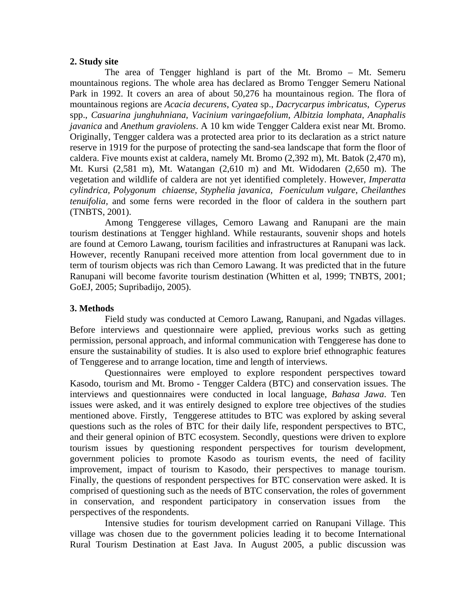## **2. Study site**

 The area of Tengger highland is part of the Mt. Bromo – Mt. Semeru mountainous regions. The whole area has declared as Bromo Tengger Semeru National Park in 1992. It covers an area of about 50,276 ha mountainous region. The flora of mountainous regions are *Acacia decurens*, *Cyatea* sp., *Dacrycarpus imbricatus*, *Cyperus* spp., *Casuarina junghuhniana*, *Vacinium varingaefolium*, *Albitzia lomphata*, *Anaphalis javanica* and *Anethum graviolens*. A 10 km wide Tengger Caldera exist near Mt. Bromo. Originally, Tengger caldera was a protected area prior to its declaration as a strict nature reserve in 1919 for the purpose of protecting the sand-sea landscape that form the floor of caldera. Five mounts exist at caldera, namely Mt. Bromo (2,392 m), Mt. Batok (2,470 m), Mt. Kursi (2,581 m), Mt. Watangan (2,610 m) and Mt. Widodaren (2,650 m). The vegetation and wildlife of caldera are not yet identified completely. However*, Imperatta cylindrica, Polygonum chiaense, Styphelia javanica, Foeniculum vulgare*, *Cheilanthes tenuifolia,* and some ferns were recorded in the floor of caldera in the southern part (TNBTS, 2001).

 Among Tenggerese villages, Cemoro Lawang and Ranupani are the main tourism destinations at Tengger highland. While restaurants, souvenir shops and hotels are found at Cemoro Lawang, tourism facilities and infrastructures at Ranupani was lack. However, recently Ranupani received more attention from local government due to in term of tourism objects was rich than Cemoro Lawang. It was predicted that in the future Ranupani will become favorite tourism destination (Whitten et al, 1999; TNBTS, 2001; GoEJ, 2005; Supribadijo, 2005).

# **3. Methods**

 Field study was conducted at Cemoro Lawang, Ranupani, and Ngadas villages. Before interviews and questionnaire were applied, previous works such as getting permission, personal approach, and informal communication with Tenggerese has done to ensure the sustainability of studies. It is also used to explore brief ethnographic features of Tenggerese and to arrange location, time and length of interviews.

 Questionnaires were employed to explore respondent perspectives toward Kasodo, tourism and Mt. Bromo - Tengger Caldera (BTC) and conservation issues. The interviews and questionnaires were conducted in local language, *Bahasa Jawa*. Ten issues were asked, and it was entirely designed to explore tree objectives of the studies mentioned above. Firstly, Tenggerese attitudes to BTC was explored by asking several questions such as the roles of BTC for their daily life, respondent perspectives to BTC, and their general opinion of BTC ecosystem. Secondly, questions were driven to explore tourism issues by questioning respondent perspectives for tourism development, government policies to promote Kasodo as tourism events, the need of facility improvement, impact of tourism to Kasodo, their perspectives to manage tourism. Finally, the questions of respondent perspectives for BTC conservation were asked. It is comprised of questioning such as the needs of BTC conservation, the roles of government in conservation, and respondent participatory in conservation issues from the perspectives of the respondents.

 Intensive studies for tourism development carried on Ranupani Village. This village was chosen due to the government policies leading it to become International Rural Tourism Destination at East Java. In August 2005, a public discussion was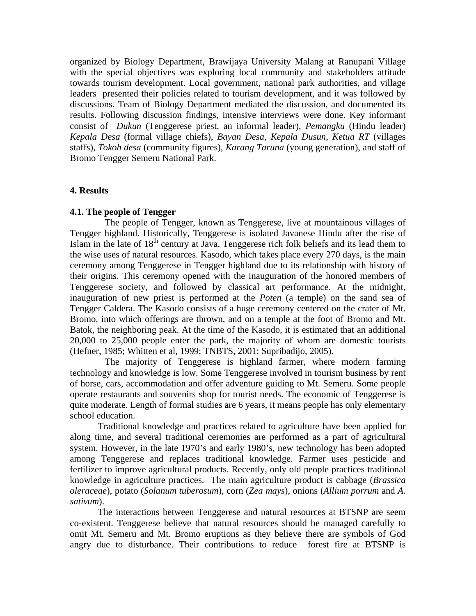organized by Biology Department, Brawijaya University Malang at Ranupani Village with the special objectives was exploring local community and stakeholders attitude towards tourism development. Local government, national park authorities, and village leaders presented their policies related to tourism development, and it was followed by discussions. Team of Biology Department mediated the discussion, and documented its results. Following discussion findings, intensive interviews were done. Key informant consist of *Dukun* (Tenggerese priest, an informal leader), *Pemangku* (Hindu leader) *Kepala Desa* (formal village chiefs), *Bayan Desa*, *Kepala Dusun*, *Ketua RT* (villages staffs), *Tokoh desa* (community figures), *Karang Taruna* (young generation), and staff of Bromo Tengger Semeru National Park.

## **4. Results**

#### **4.1. The people of Tengger**

 The people of Tengger, known as Tenggerese, live at mountainous villages of Tengger highland. Historically, Tenggerese is isolated Javanese Hindu after the rise of Islam in the late of  $18<sup>th</sup>$  century at Java. Tenggerese rich folk beliefs and its lead them to the wise uses of natural resources. Kasodo, which takes place every 270 days, is the main ceremony among Tenggerese in Tengger highland due to its relationship with history of their origins. This ceremony opened with the inauguration of the honored members of Tenggerese society, and followed by classical art performance. At the midnight, inauguration of new priest is performed at the *Poten* (a temple) on the sand sea of Tengger Caldera. The Kasodo consists of a huge ceremony centered on the crater of Mt. Bromo, into which offerings are thrown, and on a temple at the foot of Bromo and Mt. Batok, the neighboring peak. At the time of the Kasodo, it is estimated that an additional 20,000 to 25,000 people enter the park, the majority of whom are domestic tourists (Hefner, 1985; Whitten et al, 1999; TNBTS, 2001; Supribadijo, 2005).

 The majority of Tenggerese is highland farmer, where modern farming technology and knowledge is low. Some Tenggerese involved in tourism business by rent of horse, cars, accommodation and offer adventure guiding to Mt. Semeru. Some people operate restaurants and souvenirs shop for tourist needs. The economic of Tenggerese is quite moderate. Length of formal studies are 6 years, it means people has only elementary school education.

Traditional knowledge and practices related to agriculture have been applied for along time, and several traditional ceremonies are performed as a part of agricultural system. However, in the late 1970's and early 1980's, new technology has been adopted among Tenggerese and replaces traditional knowledge. Farmer uses pesticide and fertilizer to improve agricultural products. Recently, only old people practices traditional knowledge in agriculture practices. The main agriculture product is cabbage (*Brassica oleraceae*), potato (*Solanum tuberosum*), corn (*Zea mays*), onions (*Allium porrum* and *A. sativum*).

The interactions between Tenggerese and natural resources at BTSNP are seem co-existent. Tenggerese believe that natural resources should be managed carefully to omit Mt. Semeru and Mt. Bromo eruptions as they believe there are symbols of God angry due to disturbance. Their contributions to reduce forest fire at BTSNP is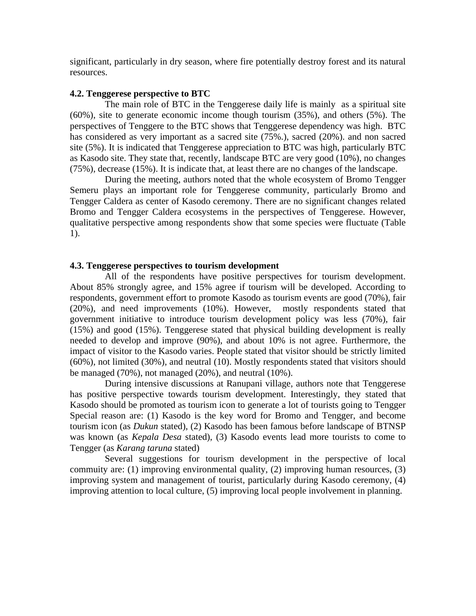significant, particularly in dry season, where fire potentially destroy forest and its natural resources.

### **4.2. Tenggerese perspective to BTC**

 The main role of BTC in the Tenggerese daily life is mainly as a spiritual site (60%), site to generate economic income though tourism (35%), and others (5%). The perspectives of Tenggere to the BTC shows that Tenggerese dependency was high. BTC has considered as very important as a sacred site (75%.), sacred (20%). and non sacred site (5%). It is indicated that Tenggerese appreciation to BTC was high, particularly BTC as Kasodo site. They state that, recently, landscape BTC are very good (10%), no changes (75%), decrease (15%). It is indicate that, at least there are no changes of the landscape.

 During the meeting, authors noted that the whole ecosystem of Bromo Tengger Semeru plays an important role for Tenggerese community, particularly Bromo and Tengger Caldera as center of Kasodo ceremony. There are no significant changes related Bromo and Tengger Caldera ecosystems in the perspectives of Tenggerese. However, qualitative perspective among respondents show that some species were fluctuate (Table 1).

### **4.3. Tenggerese perspectives to tourism development**

 All of the respondents have positive perspectives for tourism development. About 85% strongly agree, and 15% agree if tourism will be developed. According to respondents, government effort to promote Kasodo as tourism events are good (70%), fair (20%), and need improvements (10%). However, mostly respondents stated that government initiative to introduce tourism development policy was less (70%), fair (15%) and good (15%). Tenggerese stated that physical building development is really needed to develop and improve (90%), and about 10% is not agree. Furthermore, the impact of visitor to the Kasodo varies. People stated that visitor should be strictly limited (60%), not limited (30%), and neutral (10). Mostly respondents stated that visitors should be managed  $(70\%)$ , not managed  $(20\%)$ , and neutral  $(10\%)$ .

 During intensive discussions at Ranupani village, authors note that Tenggerese has positive perspective towards tourism development. Interestingly, they stated that Kasodo should be promoted as tourism icon to generate a lot of tourists going to Tengger Special reason are: (1) Kasodo is the key word for Bromo and Tengger, and become tourism icon (as *Dukun* stated), (2) Kasodo has been famous before landscape of BTNSP was known (as *Kepala Desa* stated), (3) Kasodo events lead more tourists to come to Tengger (as *Karang taruna* stated)

 Several suggestions for tourism development in the perspective of local commuity are: (1) improving environmental quality, (2) improving human resources, (3) improving system and management of tourist, particularly during Kasodo ceremony, (4) improving attention to local culture, (5) improving local people involvement in planning.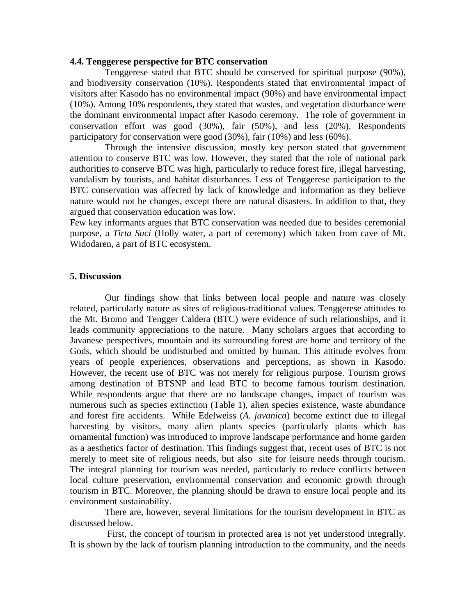#### **4.4. Tenggerese perspective for BTC conservation**

 Tenggerese stated that BTC should be conserved for spiritual purpose (90%), and biodiversity conservation (10%). Respondents stated that environmental impact of visitors after Kasodo has no environmental impact (90%) and have environmental impact (10%). Among 10% respondents, they stated that wastes, and vegetation disturbance were the dominant environmental impact after Kasodo ceremony. The role of government in conservation effort was good (30%), fair (50%), and less (20%). Respondents participatory for conservation were good (30%), fair (10%) and less (60%).

 Through the intensive discussion, mostly key person stated that government attention to conserve BTC was low. However, they stated that the role of national park authorities to conserve BTC was high, particularly to reduce forest fire, illegal harvesting, vandalism by tourists, and habitat disturbances. Less of Tenggerese participation to the BTC conservation was affected by lack of knowledge and information as they believe nature would not be changes, except there are natural disasters. In addition to that, they argued that conservation education was low.

Few key informants argues that BTC conservation was needed due to besides ceremonial purpose, a *Tirta Suci* (Holly water, a part of ceremony) which taken from cave of Mt. Widodaren, a part of BTC ecosystem.

#### **5. Discussion**

Our findings show that links between local people and nature was closely related, particularly nature as sites of religious-traditional values. Tenggerese attitudes to the Mt. Bromo and Tengger Caldera (BTC) were evidence of such relationships, and it leads community appreciations to the nature. Many scholars argues that according to Javanese perspectives, mountain and its surrounding forest are home and territory of the Gods, which should be undisturbed and omitted by human. This attitude evolves from years of people experiences, observations and perceptions, as shown in Kasodo. However, the recent use of BTC was not merely for religious purpose. Tourism grows among destination of BTSNP and lead BTC to become famous tourism destination. While respondents argue that there are no landscape changes, impact of tourism was numerous such as species extinction (Table 1), alien species existence, waste abundance and forest fire accidents. While Edelweiss (*A. javanica*) become extinct due to illegal harvesting by visitors, many alien plants species (particularly plants which has ornamental function) was introduced to improve landscape performance and home garden as a aesthetics factor of destination. This findings suggest that, recent uses of BTC is not merely to meet site of religious needs, but also site for leisure needs through tourism. The integral planning for tourism was needed, particularly to reduce conflicts between local culture preservation, environmental conservation and economic growth through tourism in BTC. Moreover, the planning should be drawn to ensure local people and its environment sustainability.

There are, however, several limitations for the tourism development in BTC as discussed below.

 First, the concept of tourism in protected area is not yet understood integrally. It is shown by the lack of tourism planning introduction to the community, and the needs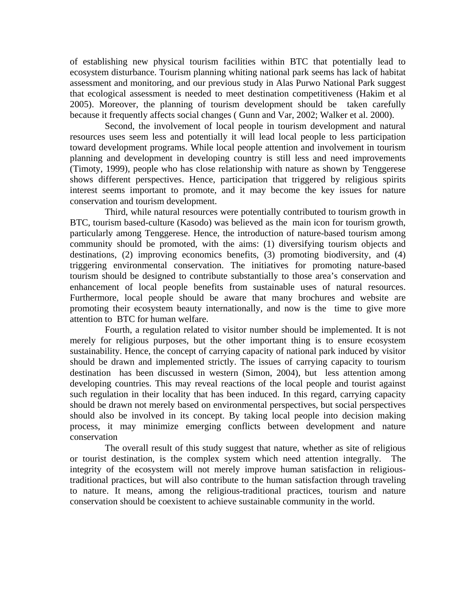of establishing new physical tourism facilities within BTC that potentially lead to ecosystem disturbance. Tourism planning whiting national park seems has lack of habitat assessment and monitoring, and our previous study in Alas Purwo National Park suggest that ecological assessment is needed to meet destination competitiveness (Hakim et al 2005). Moreover, the planning of tourism development should be taken carefully because it frequently affects social changes ( Gunn and Var, 2002; Walker et al. 2000).

Second, the involvement of local people in tourism development and natural resources uses seem less and potentially it will lead local people to less participation toward development programs. While local people attention and involvement in tourism planning and development in developing country is still less and need improvements (Timoty, 1999), people who has close relationship with nature as shown by Tenggerese shows different perspectives. Hence, participation that triggered by religious spirits interest seems important to promote, and it may become the key issues for nature conservation and tourism development.

Third, while natural resources were potentially contributed to tourism growth in BTC, tourism based-culture (Kasodo) was believed as the main icon for tourism growth, particularly among Tenggerese. Hence, the introduction of nature-based tourism among community should be promoted, with the aims: (1) diversifying tourism objects and destinations, (2) improving economics benefits, (3) promoting biodiversity, and (4) triggering environmental conservation. The initiatives for promoting nature-based tourism should be designed to contribute substantially to those area's conservation and enhancement of local people benefits from sustainable uses of natural resources. Furthermore, local people should be aware that many brochures and website are promoting their ecosystem beauty internationally, and now is the time to give more attention to BTC for human welfare.

 Fourth, a regulation related to visitor number should be implemented. It is not merely for religious purposes, but the other important thing is to ensure ecosystem sustainability. Hence, the concept of carrying capacity of national park induced by visitor should be drawn and implemented strictly. The issues of carrying capacity to tourism destination has been discussed in western (Simon, 2004), but less attention among developing countries. This may reveal reactions of the local people and tourist against such regulation in their locality that has been induced. In this regard, carrying capacity should be drawn not merely based on environmental perspectives, but social perspectives should also be involved in its concept. By taking local people into decision making process, it may minimize emerging conflicts between development and nature conservation

The overall result of this study suggest that nature, whether as site of religious or tourist destination, is the complex system which need attention integrally. The integrity of the ecosystem will not merely improve human satisfaction in religioustraditional practices, but will also contribute to the human satisfaction through traveling to nature. It means, among the religious-traditional practices, tourism and nature conservation should be coexistent to achieve sustainable community in the world.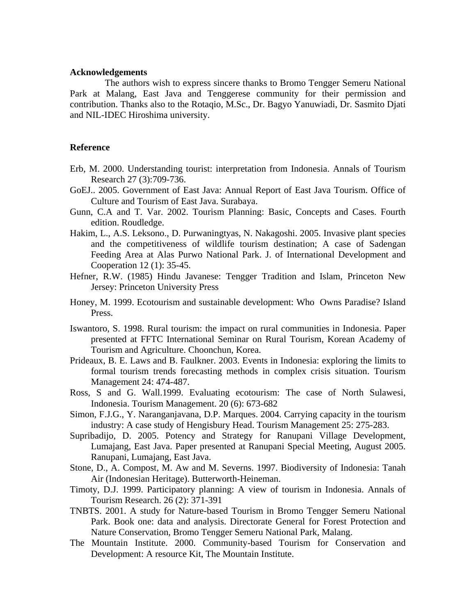### **Acknowledgements**

 The authors wish to express sincere thanks to Bromo Tengger Semeru National Park at Malang, East Java and Tenggerese community for their permission and contribution. Thanks also to the Rotaqio, M.Sc., Dr. Bagyo Yanuwiadi, Dr. Sasmito Djati and NIL-IDEC Hiroshima university.

### **Reference**

- Erb, M. 2000. Understanding tourist: interpretation from Indonesia. Annals of Tourism Research 27 (3):709-736.
- GoEJ.. 2005. Government of East Java: Annual Report of East Java Tourism. Office of Culture and Tourism of East Java. Surabaya.
- Gunn, C.A and T. Var. 2002. Tourism Planning: Basic, Concepts and Cases. Fourth edition. Roudledge.
- Hakim, L., A.S. Leksono., D. Purwaningtyas, N. Nakagoshi. 2005. Invasive plant species and the competitiveness of wildlife tourism destination; A case of Sadengan Feeding Area at Alas Purwo National Park. J. of International Development and Cooperation 12 (1): 35-45.
- Hefner, R.W. (1985) Hindu Javanese: Tengger Tradition and Islam, Princeton New Jersey: Princeton University Press
- Honey, M. 1999. Ecotourism and sustainable development: Who Owns Paradise? Island Press.
- Iswantoro, S. 1998. Rural tourism: the impact on rural communities in Indonesia. Paper presented at FFTC International Seminar on Rural Tourism, Korean Academy of Tourism and Agriculture. Choonchun, Korea.
- Prideaux, B. E. Laws and B. Faulkner. 2003. Events in Indonesia: exploring the limits to formal tourism trends forecasting methods in complex crisis situation. Tourism Management 24: 474-487.
- Ross, S and G. Wall.1999. Evaluating ecotourism: The case of North Sulawesi, Indonesia. Tourism Management. 20 (6): 673-682
- Simon, F.J.G., Y. Naranganjavana, D.P. Marques. 2004. Carrying capacity in the tourism industry: A case study of Hengisbury Head. Tourism Management 25: 275-283.
- Supribadijo, D. 2005. Potency and Strategy for Ranupani Village Development, Lumajang, East Java. Paper presented at Ranupani Special Meeting, August 2005. Ranupani, Lumajang, East Java.
- Stone, D., A. Compost, M. Aw and M. Severns. 1997. Biodiversity of Indonesia: Tanah Air (Indonesian Heritage). Butterworth-Heineman.
- Timoty, D.J. 1999. Participatory planning: A view of tourism in Indonesia. Annals of Tourism Research. 26 (2): 371-391
- TNBTS. 2001. A study for Nature-based Tourism in Bromo Tengger Semeru National Park. Book one: data and analysis. Directorate General for Forest Protection and Nature Conservation, Bromo Tengger Semeru National Park, Malang.
- The Mountain Institute. 2000. Community-based Tourism for Conservation and Development: A resource Kit, The Mountain Institute.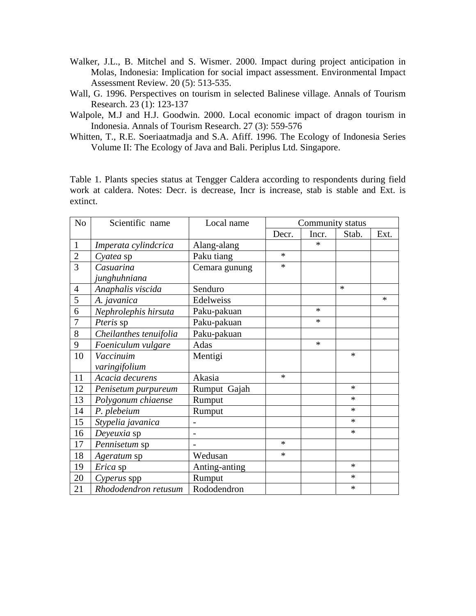- Walker, J.L., B. Mitchel and S. Wismer. 2000. Impact during project anticipation in Molas, Indonesia: Implication for social impact assessment. Environmental Impact Assessment Review. 20 (5): 513-535.
- Wall, G. 1996. Perspectives on tourism in selected Balinese village. Annals of Tourism Research. 23 (1): 123-137
- Walpole, M.J and H.J. Goodwin. 2000. Local economic impact of dragon tourism in Indonesia. Annals of Tourism Research. 27 (3): 559-576
- Whitten, T., R.E. Soeriaatmadja and S.A. Afiff. 1996. The Ecology of Indonesia Series Volume II: The Ecology of Java and Bali. Periplus Ltd. Singapore.

Table 1. Plants species status at Tengger Caldera according to respondents during field work at caldera. Notes: Decr. is decrease, Incr is increase, stab is stable and Ext. is extinct.

| N <sub>o</sub> | Scientific name        | Local name               | Community status |        |        |        |
|----------------|------------------------|--------------------------|------------------|--------|--------|--------|
|                |                        |                          | Decr.            | Incr.  | Stab.  | Ext.   |
| $1\,$          | Imperata cylindcrica   | Alang-alang              |                  | $\ast$ |        |        |
| $\overline{2}$ | Cyatea sp              | Paku tiang               | $\ast$           |        |        |        |
| $\overline{3}$ | Casuarina              | Cemara gunung            | $\ast$           |        |        |        |
|                | junghuhniana           |                          |                  |        |        |        |
| $\overline{4}$ | Anaphalis viscida      | Senduro                  |                  |        | $\ast$ |        |
| 5              | A. javanica            | Edelweiss                |                  |        |        | $\ast$ |
| 6              | Nephrolephis hirsuta   | Paku-pakuan              |                  | $\ast$ |        |        |
| 7              | Pteris sp              | Paku-pakuan              |                  | $\ast$ |        |        |
| 8              | Cheilanthes tenuifolia | Paku-pakuan              |                  |        |        |        |
| 9              | Foeniculum vulgare     | Adas                     |                  | $\ast$ |        |        |
| 10             | Vaccinuim              | Mentigi                  |                  |        | $\ast$ |        |
|                | varingifolium          |                          |                  |        |        |        |
| 11             | Acacia decurens        | Akasia                   | $\ast$           |        |        |        |
| 12             | Penisetum purpureum    | Rumput Gajah             |                  |        | $\ast$ |        |
| 13             | Polygonum chiaense     | Rumput                   |                  |        | $\ast$ |        |
| 14             | P. plebeium            | Rumput                   |                  |        | $\ast$ |        |
| 15             | Stypelia javanica      |                          |                  |        | $\ast$ |        |
| 16             | Deyeuxia sp            | $\overline{\phantom{a}}$ |                  |        | $\ast$ |        |
| 17             | Pennisetum sp          |                          | $\ast$           |        |        |        |
| 18             | Ageratum sp            | Wedusan                  | $\ast$           |        |        |        |
| 19             | Erica sp               | Anting-anting            |                  |        | $\ast$ |        |
| 20             | Cyperus spp            | Rumput                   |                  |        | $\ast$ |        |
| 21             | Rhododendron retusum   | Rododendron              |                  |        | $\ast$ |        |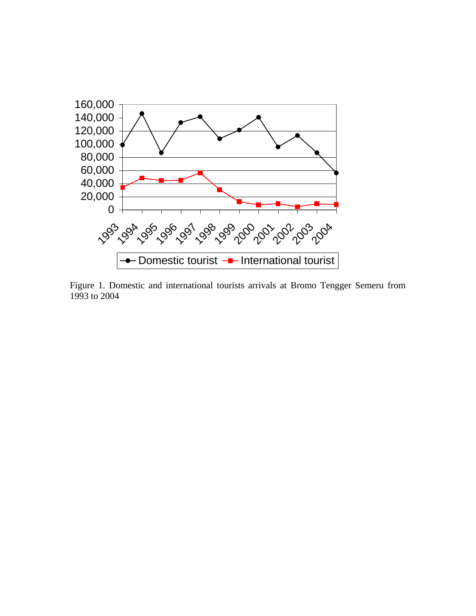

Figure 1. Domestic and international tourists arrivals at Bromo Tengger Semeru from 1993 to 2004